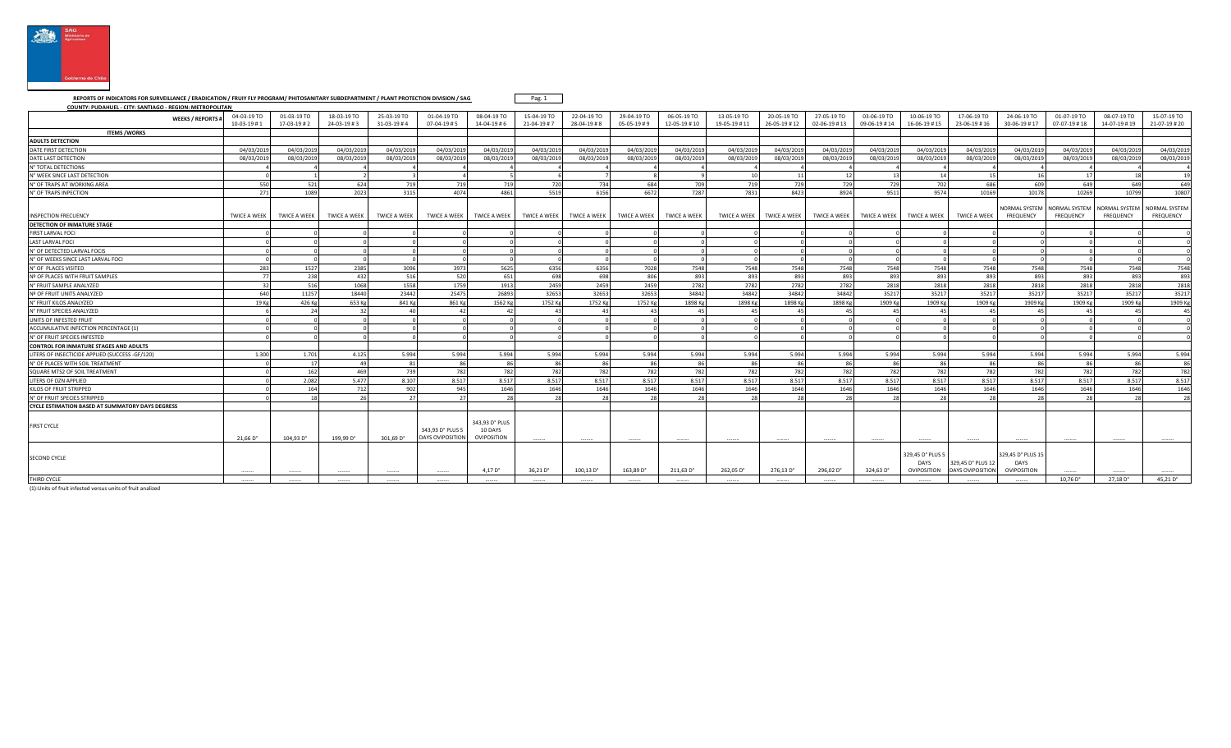

## **REPORTS OF INDICATORS FOR SURVEILLANCE / ERADICATION / FRUIY FLY PROGRAM/ PHITOSANITARY SUBDEPARTMENT / PLANT PROTECTION DIVISION / SAG COUNTY: PUDAHUEL - CITY: SANTIAGO - REGION: METROPOLITAN**

Pag. 1

| COONTT: TODATIOCE- CITT: JANTIAGO - REGION: METROLOGITAN |                             |                           |                                    |                           |                                            |                                          |                            |                           |                                |                             |                             |                             |                                     |                             |                                                |                                      |                                          |                                     |                                   |                                   |
|----------------------------------------------------------|-----------------------------|---------------------------|------------------------------------|---------------------------|--------------------------------------------|------------------------------------------|----------------------------|---------------------------|--------------------------------|-----------------------------|-----------------------------|-----------------------------|-------------------------------------|-----------------------------|------------------------------------------------|--------------------------------------|------------------------------------------|-------------------------------------|-----------------------------------|-----------------------------------|
| <b>WEEKS / REPORTS</b>                                   | 04-03-19 TO<br>$10-03-19#1$ | 01-03-19 TO<br>17-03-19#2 | 18-03-19 TO<br>$24 - 03 - 19 \# 3$ | 25-03-19 TO<br>31-03-19#4 | 01-04-19 TO<br>$07 - 04 - 19 \# 5$         | 08-04-19 TO<br>$14 - 04 - 19 \# 6$       | 15-04-19 TO<br>21-04-19 #7 | 22-04-19 TO<br>28-04-19#8 | 29-04-19 TO<br>$05-05-19 \# 9$ | 06-05-19 TO<br>12-05-19 #10 | 13-05-19 TO<br>19-05-19 #11 | 20-05-19 TO<br>26-05-19 #12 | 27-05-19 TO<br>$02 - 06 - 19 \# 13$ | 03-06-19 TO<br>09-06-19 #14 | 10-06-19 TO<br>$16 - 06 - 19 + 15$             | 17-06-19 TO<br>23-06-19 #16          | 24-06-19 TO<br>30-06-19 #17              | 01-07-19 TO<br>$07 - 07 - 19 \# 18$ | 08-07-19 TO<br>14-07-19 #19       | 15-07-19 TO<br>21-07-19 #20       |
| <b>ITEMS /WORKS</b>                                      |                             |                           |                                    |                           |                                            |                                          |                            |                           |                                |                             |                             |                             |                                     |                             |                                                |                                      |                                          |                                     |                                   |                                   |
| <b>ADULTS DETECTION</b>                                  |                             |                           |                                    |                           |                                            |                                          |                            |                           |                                |                             |                             |                             |                                     |                             |                                                |                                      |                                          |                                     |                                   |                                   |
| DATE FIRST DETECTION                                     | 04/03/201                   | 04/03/201                 | 04/03/2019                         | 04/03/2019                | 04/03/201                                  | 04/03/2019                               | 04/03/201                  | 04/03/201                 | 04/03/201                      | 04/03/2019                  | 04/03/2019                  | 04/03/2019                  | 04/03/2019                          | 04/03/2019                  | 04/03/2019                                     | 04/03/201                            | 04/03/2019                               | 04/03/201                           | 04/03/201                         | 04/03/2019                        |
| DATE LAST DETECTION                                      | 08/03/201                   | 08/03/201                 | 08/03/2019                         | 08/03/201                 | 08/03/201                                  | 08/03/2019                               | 08/03/201                  | 08/03/201                 | 08/03/2019                     | 08/03/2019                  | 08/03/2019                  | 08/03/2019                  | 08/03/2019                          | 08/03/2019                  | 08/03/2019                                     | 08/03/201                            | 08/03/2019                               | 08/03/2019                          | 08/03/2019                        | 08/03/2019                        |
| N° TOTAL DETECTIONS                                      |                             |                           |                                    |                           |                                            |                                          |                            |                           |                                |                             |                             |                             |                                     |                             |                                                |                                      |                                          |                                     |                                   |                                   |
| N° WEEK SINCE LAST DETECTION                             |                             |                           |                                    |                           |                                            |                                          |                            |                           |                                |                             | 10                          | 11                          | 12                                  | 13                          |                                                |                                      |                                          | 17                                  |                                   | 19                                |
| N° OF TRAPS AT WORKING AREA                              | 550                         | 521                       | 624                                | 719                       | 719                                        | 719                                      | 720                        | 734                       | 684                            | 709                         | 719                         | 729                         | 729                                 | 729                         | 702                                            | 686                                  | 609                                      | 649                                 | 649                               | 649                               |
| N° OF TRAPS INPECTION                                    | 271                         | 1089                      | 2023                               | 3115                      | 4074                                       | 4861                                     | 5519                       | 6156                      | 6672                           | 7287                        | 7831                        | 8423                        | 8924                                | 9511                        | 9574                                           | 10169                                | 10178                                    | 10269                               | 10799                             | 10807                             |
| <b>INSPECTION FRECUENCY</b>                              | <b>TWICE A WEEK</b>         | <b>TWICE A WEEK</b>       | <b>TWICE A WEEK</b>                | <b>TWICE A WEEK</b>       | <b>TWICE A WEEK</b>                        | <b>TWICE A WEEK</b>                      | <b>TWICE A WEEK</b>        | <b>TWICE A WEEK</b>       | <b>TWICE A WEEK</b>            | <b>TWICE A WEEK</b>         | TWICE A WEEK                | <b>TWICE A WEEK</b>         | <b>TWICE A WEEK</b>                 | <b>TWICE A WEEK</b>         | <b>TWICE A WEEK</b>                            | <b>TWICE A WEEK</b>                  | NORMAL SYSTEM<br><b>FREQUENCY</b>        | NORMAL SYSTEM<br><b>FREQUENCY</b>   | NORMAL SYSTEM<br><b>FREQUENCY</b> | NORMAL SYSTEM<br><b>FREQUENCY</b> |
| <b>DETECTION OF INMATURE STAGE</b>                       |                             |                           |                                    |                           |                                            |                                          |                            |                           |                                |                             |                             |                             |                                     |                             |                                                |                                      |                                          |                                     |                                   |                                   |
| FIRST LARVAL FOCI                                        |                             |                           |                                    |                           |                                            |                                          |                            |                           |                                |                             |                             |                             |                                     |                             |                                                |                                      |                                          |                                     |                                   |                                   |
| <b>LAST LARVAL FOCI</b>                                  |                             |                           |                                    |                           |                                            |                                          |                            |                           |                                |                             |                             |                             |                                     |                             |                                                |                                      |                                          |                                     |                                   |                                   |
| N° OF DETECTED LARVAL FOCIS                              |                             |                           |                                    |                           |                                            |                                          |                            |                           |                                |                             |                             |                             |                                     |                             |                                                |                                      |                                          |                                     |                                   |                                   |
| N° OF WEEKS SINCE LAST LARVAL FOCI                       |                             |                           |                                    |                           |                                            |                                          |                            |                           |                                |                             |                             |                             |                                     |                             |                                                |                                      |                                          |                                     |                                   |                                   |
| N° OF PLACES VISITED                                     | 283                         | 1527                      | 2385                               | 3096                      | 3973                                       | 5625                                     | 6356                       | 6356                      | 7028                           | 7548                        | 7548                        | 7548                        | 7548                                | 7548                        | 7548                                           | 7548                                 | 7548                                     | 7548                                | 7548                              | 7548                              |
| Nº OF PLACES WITH FRUIT SAMPLES                          |                             | 238                       | 432                                | 516                       | 520                                        | 651                                      | 698                        | 698                       | 806                            | 893                         | 893                         | 893                         | 893                                 | 893                         | 893                                            | 893                                  | 893                                      | 893                                 | 893                               | 893                               |
| N° FRUIT SAMPLE ANALYZED                                 |                             | 516                       | 1068                               | 1558                      | 1759                                       | 1913                                     | 2459                       | 2459                      | 2459                           | 2782                        | 2782                        | 2782                        | 2782                                | 2818                        | 2818                                           | 2818                                 | 2818                                     | 2818                                | 2818                              | 2818                              |
| Nº OF FRUIT UNITS ANALYZED                               | 640                         | 11257                     | 18440                              | 23442                     | 25475                                      | 26893                                    | 32653                      | 32653                     | 32653                          | 34842                       | 34842                       | 34842                       | 34842                               | 35217                       | 35217                                          | 35217                                | 35217                                    | 35217                               | 35217                             | 35217                             |
| N° FRUIT KILOS ANALYZED                                  | 19 K                        | 426 Kg                    | 653 Kg                             | 841 Kg                    | 861 Kg                                     | 1562 Kg                                  | 1752 Kg                    | 1752 Kg                   | 1752 Kg                        | 1898 Kg                     | 1898 Kg                     | 1898 Kg                     | 1898 Kg                             | 1909 Kg                     | 1909 Kg                                        | 1909 Kg                              | 1909 Kg                                  | 1909 Kg                             | 1909 Kg                           | 1909 Kg                           |
| N° FRUIT SPECIES ANALYZED                                |                             | 24                        | 32                                 | $\Delta$ C                | $\Lambda$ <sup>-</sup>                     | 42                                       | $\mathbf{A}$               | 43                        | $\Delta$ <sup>3</sup>          | $\mathbf{A}^{\mathsf{c}}$   | -45                         | 45                          | 45                                  | $\mathbf{A}$                | 45                                             | 45                                   | 45                                       | 45                                  |                                   | 45                                |
| UNITS OF INFESTED FRUIT                                  |                             |                           |                                    |                           |                                            |                                          |                            |                           |                                |                             |                             |                             |                                     |                             |                                                |                                      |                                          |                                     |                                   |                                   |
| ACCUMULATIVE INFECTION PERCENTAGE (1)                    |                             |                           |                                    |                           |                                            |                                          |                            |                           |                                |                             |                             |                             |                                     |                             |                                                |                                      |                                          |                                     |                                   |                                   |
| N° OF FRUIT SPECIES INFESTED                             |                             |                           |                                    |                           |                                            |                                          |                            |                           |                                |                             |                             |                             |                                     |                             |                                                |                                      |                                          |                                     |                                   |                                   |
| <b>CONTROL FOR INMATURE STAGES AND ADULTS</b>            |                             |                           |                                    |                           |                                            |                                          |                            |                           |                                |                             |                             |                             |                                     |                             |                                                |                                      |                                          |                                     |                                   |                                   |
| LITERS OF INSECTICIDE APPLIED (SUCCESS -GF/120)          | 1.300                       | 1.701                     | 4.125                              | 5.994                     | 5.994                                      | 5.994                                    | 5.994                      | 5.994                     | 5.994                          | 5.994                       | 5.994                       | 5.994                       | 5.994                               | 5.994                       | 5.994                                          | 5.994                                | 5.994                                    | 5.994                               | 5.994                             | 5.994                             |
| N° OF PLACES WITH SOIL TREATMENT                         |                             |                           |                                    | 8 <sup>1</sup>            |                                            | $\Omega$                                 |                            |                           | 86                             | $\Omega$                    | Rf                          | 86                          | Rf                                  |                             |                                                |                                      |                                          | Rf                                  |                                   | 86                                |
| SQUARE MTS2 OF SOIL TREATMENT                            |                             | 162                       | 469                                | 739                       | 782                                        | 782                                      | 782                        | 782                       | 782                            | 782                         | 782                         | 782                         | 782                                 | 782                         | 782                                            | 782                                  | 782                                      | 782                                 | 782                               | 782                               |
| LITERS OF DZN APPLIED                                    |                             | 2.082                     | 5.477                              | 8.107                     | 8.517                                      | 8.517                                    | 8.517                      | 8.517                     | 8.517                          | 8.517                       | 8.517                       | 8.517                       | 8.517                               | 8.517                       | 8.517                                          | 8.517                                | 8.517                                    | 8.517                               | 8.517                             | 8.517                             |
| KILOS OF FRUIT STRIPPED                                  |                             | 164                       | 712                                | 902                       | 945                                        | 1646                                     | 1646                       | 1646                      | 1646                           | 1646                        | 1646                        | 1646                        | 1646                                | 1646                        | 1646                                           | 1646                                 | 1646                                     | 1646                                | 1646                              | 1646                              |
| N° OF FRUIT SPECIES STRIPPED                             |                             | 10                        |                                    | 27                        |                                            | 28                                       |                            | 78                        | 2s                             |                             | 25                          | 78                          | 28                                  |                             |                                                |                                      |                                          | 28                                  |                                   | 28                                |
| <b>CYCLE ESTIMATION BASED AT SUMMATORY DAYS DEGRESS</b>  |                             |                           |                                    |                           |                                            |                                          |                            |                           |                                |                             |                             |                             |                                     |                             |                                                |                                      |                                          |                                     |                                   |                                   |
| <b>FIRST CYCLE</b>                                       | $21.66\,\mathrm{D}^\circ$   | 104.93 D°                 | 199.99 D°                          | 301.69 D°                 | 343,93 D° PLUS 5<br><b>DAYS OVIPOSITIO</b> | 343,93 D° PLUS<br>10 DAYS<br>OVIPOSITION |                            |                           |                                |                             |                             |                             |                                     |                             |                                                |                                      |                                          |                                     |                                   |                                   |
| <b>SECOND CYCLE</b>                                      |                             |                           |                                    |                           |                                            | 4.17 D <sup>o</sup>                      | 36,21 D°                   | 100.13 D°                 | 163,89 D°                      | 211,63 D°                   | 262,05 D°                   | 276,13 D°                   | 296,02 D°                           | 324.63 D°                   | 329,45 D° PLUS 5<br><b>DAYS</b><br>OVIPOSITION | 329,45 D° PLUS 1<br>DAYS OVIPOSITION | 329,45 D° PLUS 15<br>DAYS<br>OVIPOSITION |                                     |                                   |                                   |
| THIRD CYCLE                                              |                             |                           |                                    |                           |                                            |                                          |                            |                           |                                |                             |                             |                             |                                     |                             |                                                |                                      |                                          | 10.76 D <sup>o</sup>                | 27.18 D <sup>o</sup>              | 45.21 D°                          |

(1):Units of fruit infested versus units of fruit analized